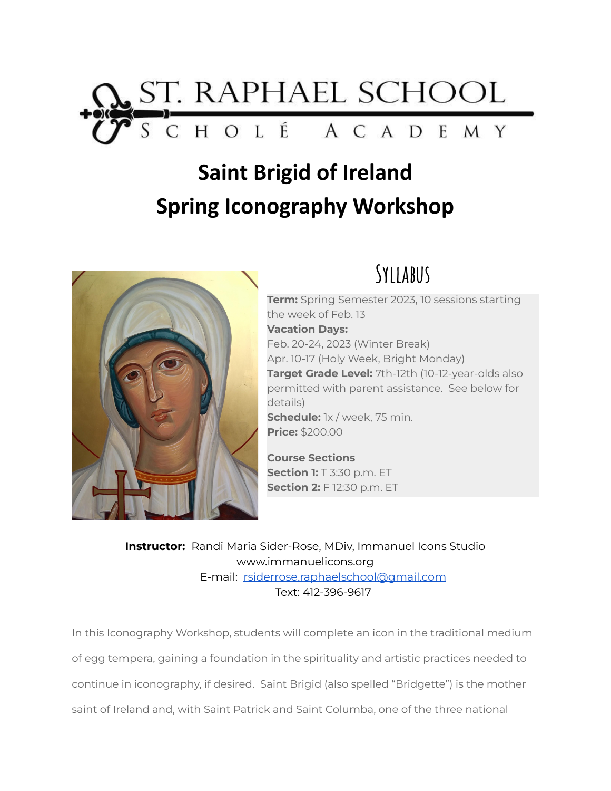

# **Saint Brigid of Ireland Spring Iconography Workshop**



# **Syllabus**

**Term:** Spring Semester 2023, 10 sessions starting the week of Feb. 13 **Vacation Days:** Feb. 20-24, 2023 (Winter Break) Apr. 10-17 (Holy Week, Bright Monday) **Target Grade Level:** 7th-12th (10-12-year-olds also permitted with parent assistance. See below for details) **Schedule:** 1x / week, 75 min. **Price:** \$200.00

**Course Sections Section 1:** T 3:30 p.m. ET **Section 2:** F 12:30 p.m. ET

**Instructor:** Randi Maria Sider-Rose, MDiv, Immanuel Icons Studio www.immanuelicons.org E-mail: [rsiderrose.raphaelschool@gmail.com](mailto:rsiderrose.raphaelschool@gmail.com) Text: 412-396-9617

In this Iconography Workshop, students will complete an icon in the traditional medium of egg tempera, gaining a foundation in the spirituality and artistic practices needed to continue in iconography, if desired. Saint Brigid (also spelled "Bridgette") is the mother saint of Ireland and, with Saint Patrick and Saint Columba, one of the three national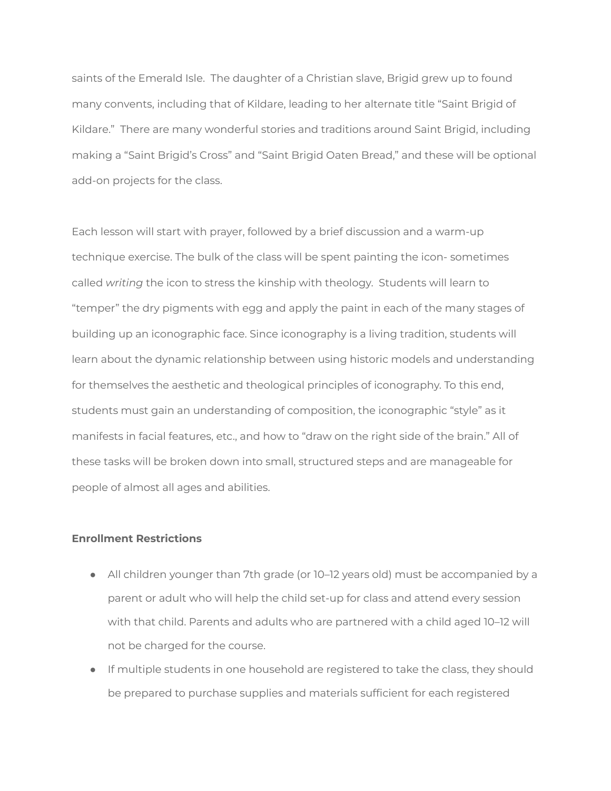saints of the Emerald Isle. The daughter of a Christian slave, Brigid grew up to found many convents, including that of Kildare, leading to her alternate title "Saint Brigid of Kildare." There are many wonderful stories and traditions around Saint Brigid, including making a "Saint Brigid's Cross" and "Saint Brigid Oaten Bread," and these will be optional add-on projects for the class.

Each lesson will start with prayer, followed by a brief discussion and a warm-up technique exercise. The bulk of the class will be spent painting the icon- sometimes called *writing* the icon to stress the kinship with theology. Students will learn to "temper" the dry pigments with egg and apply the paint in each of the many stages of building up an iconographic face. Since iconography is a living tradition, students will learn about the dynamic relationship between using historic models and understanding for themselves the aesthetic and theological principles of iconography. To this end, students must gain an understanding of composition, the iconographic "style" as it manifests in facial features, etc., and how to "draw on the right side of the brain." All of these tasks will be broken down into small, structured steps and are manageable for people of almost all ages and abilities.

#### **Enrollment Restrictions**

- All children younger than 7th grade (or 10–12 years old) must be accompanied by a parent or adult who will help the child set-up for class and attend every session with that child. Parents and adults who are partnered with a child aged 10–12 will not be charged for the course.
- If multiple students in one household are registered to take the class, they should be prepared to purchase supplies and materials sufficient for each registered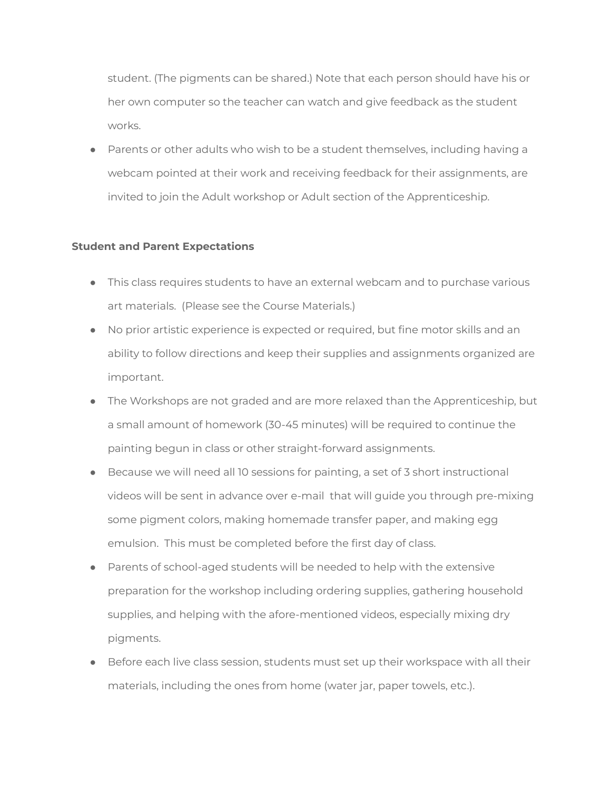student. (The pigments can be shared.) Note that each person should have his or her own computer so the teacher can watch and give feedback as the student works.

● Parents or other adults who wish to be a student themselves, including having a webcam pointed at their work and receiving feedback for their assignments, are invited to join the Adult workshop or Adult section of the Apprenticeship.

## **Student and Parent Expectations**

- This class requires students to have an external webcam and to purchase various art materials. (Please see the Course Materials.)
- No prior artistic experience is expected or required, but fine motor skills and an ability to follow directions and keep their supplies and assignments organized are important.
- The Workshops are not graded and are more relaxed than the Apprenticeship, but a small amount of homework (30-45 minutes) will be required to continue the painting begun in class or other straight-forward assignments.
- Because we will need all 10 sessions for painting, a set of 3 short instructional videos will be sent in advance over e-mail that will guide you through pre-mixing some pigment colors, making homemade transfer paper, and making egg emulsion. This must be completed before the first day of class.
- Parents of school-aged students will be needed to help with the extensive preparation for the workshop including ordering supplies, gathering household supplies, and helping with the afore-mentioned videos, especially mixing dry pigments.
- Before each live class session, students must set up their workspace with all their materials, including the ones from home (water jar, paper towels, etc.).